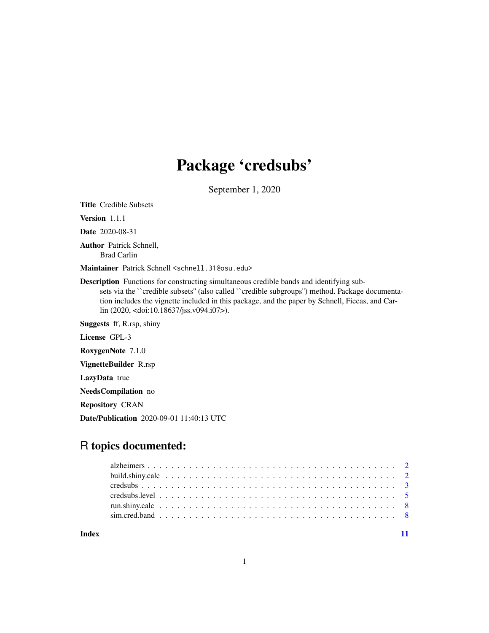## Package 'credsubs'

September 1, 2020

Title Credible Subsets

Version 1.1.1

Date 2020-08-31

Author Patrick Schnell, Brad Carlin

Maintainer Patrick Schnell <schnell.31@osu.edu>

Description Functions for constructing simultaneous credible bands and identifying subsets via the "credible subsets" (also called "credible subgroups") method. Package documentation includes the vignette included in this package, and the paper by Schnell, Fiecas, and Carlin (2020, <doi:10.18637/jss.v094.i07>).

Suggests ff, R.rsp, shiny

License GPL-3

RoxygenNote 7.1.0

VignetteBuilder R.rsp

LazyData true

NeedsCompilation no

Repository CRAN

Date/Publication 2020-09-01 11:40:13 UTC

### R topics documented:

| Index |  |  |  |  |  |  |  |  |  |  |  |  |  |  |  |  |  |  |  |  |
|-------|--|--|--|--|--|--|--|--|--|--|--|--|--|--|--|--|--|--|--|--|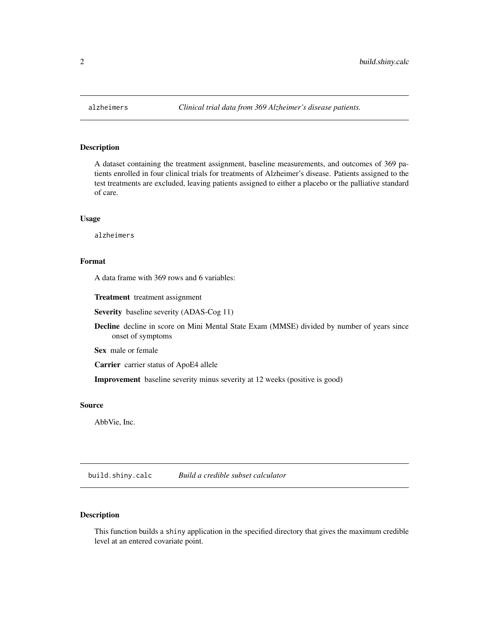<span id="page-1-0"></span>

#### Description

A dataset containing the treatment assignment, baseline measurements, and outcomes of 369 patients enrolled in four clinical trials for treatments of Alzheimer's disease. Patients assigned to the test treatments are excluded, leaving patients assigned to either a placebo or the palliative standard of care.

#### Usage

alzheimers

#### Format

A data frame with 369 rows and 6 variables:

Treatment treatment assignment

Severity baseline severity (ADAS-Cog 11)

Decline decline in score on Mini Mental State Exam (MMSE) divided by number of years since onset of symptoms

Sex male or female

Carrier carrier status of ApoE4 allele

Improvement baseline severity minus severity at 12 weeks (positive is good)

#### Source

AbbVie, Inc.

build.shiny.calc *Build a credible subset calculator*

#### Description

This function builds a shiny application in the specified directory that gives the maximum credible level at an entered covariate point.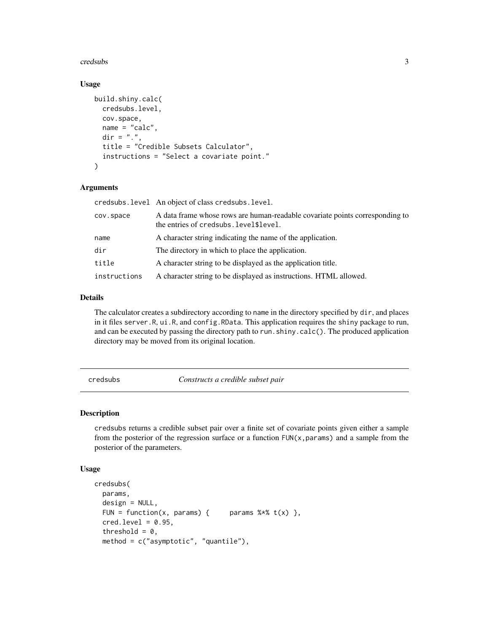#### <span id="page-2-0"></span>credsubs 3

#### Usage

```
build.shiny.calc(
  credsubs.level,
  cov.space,
  name = "calc",
  \text{dir} = "."title = "Credible Subsets Calculator",
  instructions = "Select a covariate point."
)
```
#### Arguments

|              | credsubs.level An object of class credsubs.level.                                                                      |
|--------------|------------------------------------------------------------------------------------------------------------------------|
| cov.space    | A data frame whose rows are human-readable covariate points corresponding to<br>the entries of credsubs. level\$level. |
| name         | A character string indicating the name of the application.                                                             |
| dir          | The directory in which to place the application.                                                                       |
| title        | A character string to be displayed as the application title.                                                           |
| instructions | A character string to be displayed as instructions. HTML allowed.                                                      |

#### Details

The calculator creates a subdirectory according to name in the directory specified by dir, and places in it files server.R, ui.R, and config.RData. This application requires the shiny package to run, and can be executed by passing the directory path to run.shiny.calc(). The produced application directory may be moved from its original location.

credsubs *Constructs a credible subset pair*

#### Description

credsubs returns a credible subset pair over a finite set of covariate points given either a sample from the posterior of the regression surface or a function  $FUN(x, params)$  and a sample from the posterior of the parameters.

#### Usage

```
credsubs(
  params,
  design = NULL,
  FUN = function(x, params) { params % * t(x) },
  \text{cred. level} = 0.95,threshold = 0,
  method = c("asymptotic", "quantile"),
```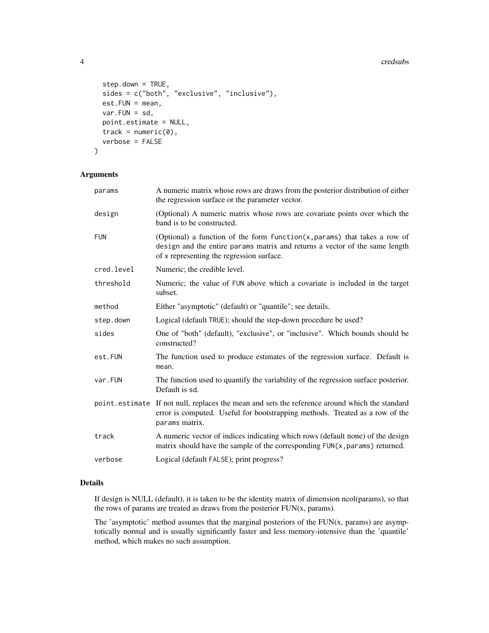#### 4 credsubs and the credsubs of the credsubs of the credsubs of the credsubs of the credsubs of the credsubs of the credsubs of the credsubs of the credsubs of the credsubs of the credsubs of the credsubs of the credsubs of

```
step.down = TRUE,
  sides = c("both", "exclusive", "inclusive"),
 est.FUN = mean,
 var.FUN = sd,point.estimate = NULL,
 track = numeric(0),
 verbose = FALSE
)
```
#### Arguments

| params     | A numeric matrix whose rows are draws from the posterior distribution of either<br>the regression surface or the parameter vector.                                                                        |
|------------|-----------------------------------------------------------------------------------------------------------------------------------------------------------------------------------------------------------|
| design     | (Optional) A numeric matrix whose rows are covariate points over which the<br>band is to be constructed.                                                                                                  |
| <b>FUN</b> | (Optional) a function of the form function( $x$ , params) that takes a row of<br>design and the entire params matrix and returns a vector of the same length<br>of x representing the regression surface. |
| cred.level | Numeric; the credible level.                                                                                                                                                                              |
| threshold  | Numeric; the value of FUN above which a covariate is included in the target<br>subset.                                                                                                                    |
| method     | Either "asymptotic" (default) or "quantile"; see details.                                                                                                                                                 |
| step.down  | Logical (default TRUE); should the step-down procedure be used?                                                                                                                                           |
| sides      | One of "both" (default), "exclusive", or "inclusive". Which bounds should be<br>constructed?                                                                                                              |
| est.FUN    | The function used to produce estimates of the regression surface. Default is<br>mean.                                                                                                                     |
| var.FUN    | The function used to quantify the variability of the regression surface posterior.<br>Default is sd.                                                                                                      |
|            | point estimate If not null, replaces the mean and sets the reference around which the standard<br>error is computed. Useful for bootstrapping methods. Treated as a row of the<br>params matrix.          |
| track      | A numeric vector of indices indicating which rows (default none) of the design<br>matrix should have the sample of the corresponding FUN(x, params) returned.                                             |
| verbose    | Logical (default FALSE); print progress?                                                                                                                                                                  |

#### Details

If design is NULL (default), it is taken to be the identity matrix of dimension ncol(params), so that the rows of params are treated as draws from the posterior FUN(x, params).

The 'asymptotic' method assumes that the marginal posteriors of the  $FUN(x, params)$  are asymptotically normal and is usually significantly faster and less memory-intensive than the 'quantile' method, which makes no such assumption.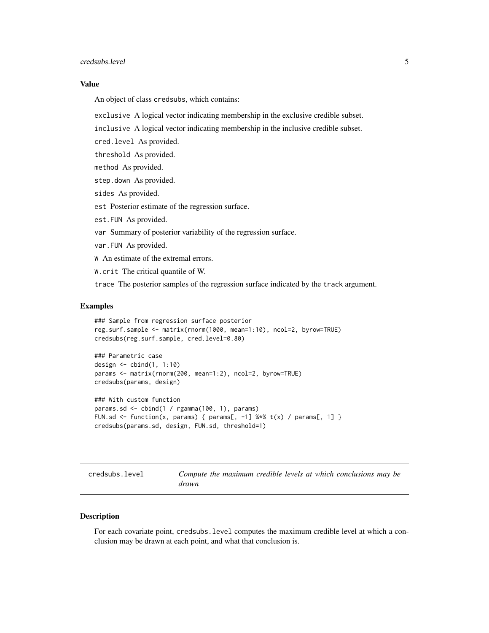#### <span id="page-4-0"></span>credsubs.level 5

#### Value

An object of class credsubs, which contains:

exclusive A logical vector indicating membership in the exclusive credible subset.

inclusive A logical vector indicating membership in the inclusive credible subset.

cred.level As provided.

threshold As provided.

method As provided.

step.down As provided.

sides As provided.

est Posterior estimate of the regression surface.

est.FUN As provided.

var Summary of posterior variability of the regression surface.

var.FUN As provided.

W An estimate of the extremal errors.

W.crit The critical quantile of W.

trace The posterior samples of the regression surface indicated by the track argument.

#### Examples

```
### Sample from regression surface posterior
reg.surf.sample <- matrix(rnorm(1000, mean=1:10), ncol=2, byrow=TRUE)
credsubs(reg.surf.sample, cred.level=0.80)
```

```
### Parametric case
design <- cbind(1, 1:10)
params <- matrix(rnorm(200, mean=1:2), ncol=2, byrow=TRUE)
credsubs(params, design)
```

```
### With custom function
params.sd <- cbind(1 / rgamma(100, 1), params)
FUN.sd <- function(x, params) { params[, -1] %*% t(x) / params[, 1] }
credsubs(params.sd, design, FUN.sd, threshold=1)
```
credsubs.level *Compute the maximum credible levels at which conclusions may be drawn*

#### **Description**

For each covariate point, credsubs.level computes the maximum credible level at which a conclusion may be drawn at each point, and what that conclusion is.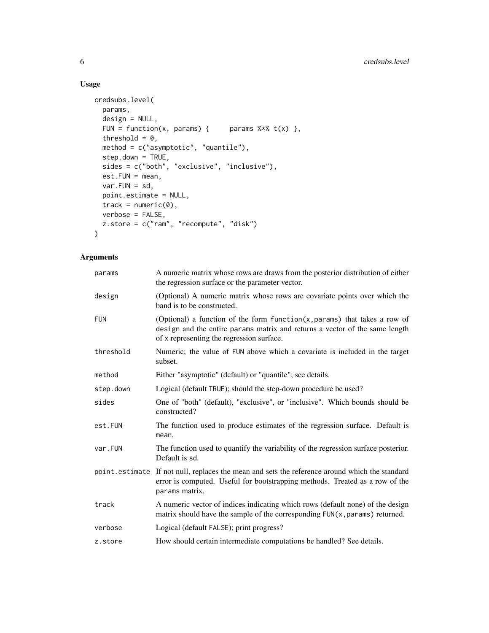#### Usage

```
credsubs.level(
  params,
  design = NULL,
  FUN = function(x, params) { params % f(x) = f(x),
  threshold = 0,
  method = c("asymptotic", "quantile"),
  step.down = TRUE,
  sides = c("both", "exclusive", "inclusive"),
  est.FUN = mean,
  var.FUN = sd,point.estimate = NULL,
  track = numeric(0),
  verbose = FALSE,
 z.store = c("ram", "recompute", "disk")
\mathcal{L}
```
#### Arguments

| params     | A numeric matrix whose rows are draws from the posterior distribution of either<br>the regression surface or the parameter vector.                                                                        |
|------------|-----------------------------------------------------------------------------------------------------------------------------------------------------------------------------------------------------------|
| design     | (Optional) A numeric matrix whose rows are covariate points over which the<br>band is to be constructed.                                                                                                  |
| <b>FUN</b> | (Optional) a function of the form function( $x$ , params) that takes a row of<br>design and the entire params matrix and returns a vector of the same length<br>of x representing the regression surface. |
| threshold  | Numeric; the value of FUN above which a covariate is included in the target<br>subset.                                                                                                                    |
| method     | Either "asymptotic" (default) or "quantile"; see details.                                                                                                                                                 |
| step.down  | Logical (default TRUE); should the step-down procedure be used?                                                                                                                                           |
| sides      | One of "both" (default), "exclusive", or "inclusive". Which bounds should be<br>constructed?                                                                                                              |
| est.FUN    | The function used to produce estimates of the regression surface. Default is<br>mean.                                                                                                                     |
| var.FUN    | The function used to quantify the variability of the regression surface posterior.<br>Default is sd.                                                                                                      |
|            | point estimate If not null, replaces the mean and sets the reference around which the standard<br>error is computed. Useful for bootstrapping methods. Treated as a row of the<br>params matrix.          |
| track      | A numeric vector of indices indicating which rows (default none) of the design<br>matrix should have the sample of the corresponding FUN(x, params) returned.                                             |
| verbose    | Logical (default FALSE); print progress?                                                                                                                                                                  |
| z.store    | How should certain intermediate computations be handled? See details.                                                                                                                                     |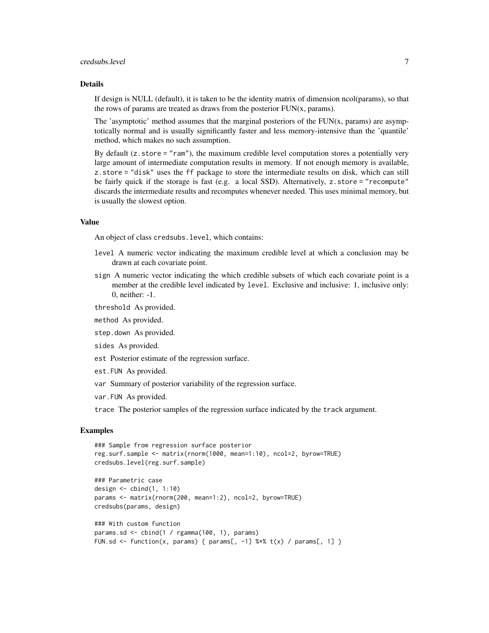#### credsubs.level 7

#### Details

If design is NULL (default), it is taken to be the identity matrix of dimension ncol(params), so that the rows of params are treated as draws from the posterior FUN(x, params).

The 'asymptotic' method assumes that the marginal posteriors of the FUN(x, params) are asymptotically normal and is usually significantly faster and less memory-intensive than the 'quantile' method, which makes no such assumption.

By default  $(z.store = "ram")$ , the maximum credible level computation stores a potentially very large amount of intermediate computation results in memory. If not enough memory is available, z.store = "disk" uses the ff package to store the intermediate results on disk, which can still be fairly quick if the storage is fast (e.g. a local SSD). Alternatively, z.store = "recompute" discards the intermediate results and recomputes whenever needed. This uses minimal memory, but is usually the slowest option.

#### Value

An object of class credsubs.level, which contains:

- level A numeric vector indicating the maximum credible level at which a conclusion may be drawn at each covariate point.
- sign A numeric vector indicating the which credible subsets of which each covariate point is a member at the credible level indicated by level. Exclusive and inclusive: 1, inclusive only: 0, neither: -1.
- threshold As provided.
- method As provided.
- step.down As provided.
- sides As provided.
- est Posterior estimate of the regression surface.
- est.FUN As provided.
- var Summary of posterior variability of the regression surface.
- var.FUN As provided.

trace The posterior samples of the regression surface indicated by the track argument.

#### Examples

```
### Sample from regression surface posterior
reg.surf.sample <- matrix(rnorm(1000, mean=1:10), ncol=2, byrow=TRUE)
credsubs.level(reg.surf.sample)
```

```
### Parametric case
design \le cbind(1, 1:10)
params <- matrix(rnorm(200, mean=1:2), ncol=2, byrow=TRUE)
credsubs(params, design)
### With custom function
```

```
params.sd <- cbind(1 / rgamma(100, 1), params)
FUN.sd <- function(x, params) { params[, -1] %*% t(x) / params[, 1] }
```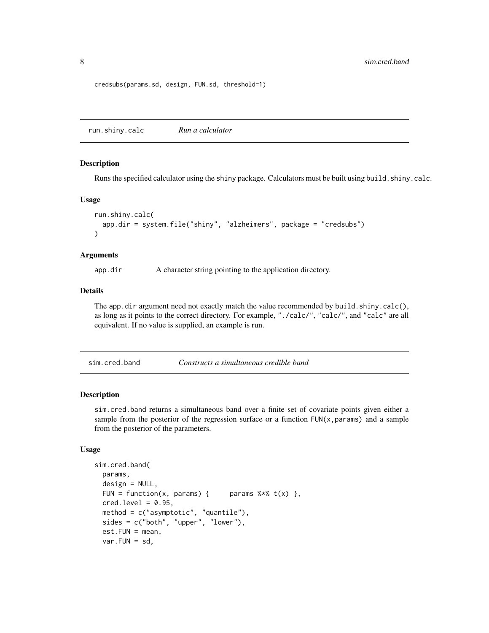<span id="page-7-0"></span>credsubs(params.sd, design, FUN.sd, threshold=1)

run.shiny.calc *Run a calculator*

#### Description

Runs the specified calculator using the shiny package. Calculators must be built using build.shiny.calc.

#### Usage

```
run.shiny.calc(
  app.dir = system.file("shiny", "alzheimers", package = "credsubs")
\lambda
```
#### Arguments

app.dir A character string pointing to the application directory.

#### Details

The app.dir argument need not exactly match the value recommended by build.shiny.calc(), as long as it points to the correct directory. For example, "./calc/", "calc/", and "calc" are all equivalent. If no value is supplied, an example is run.

| sim.cred.band | Constructs a simultaneous credible band |  |
|---------------|-----------------------------------------|--|
|---------------|-----------------------------------------|--|

#### Description

sim.cred.band returns a simultaneous band over a finite set of covariate points given either a sample from the posterior of the regression surface or a function  $FUN(x, param)$  and a sample from the posterior of the parameters.

#### Usage

```
sim.cred.band(
 params,
 design = NULL,
 FUN = function(x, params) { params % f(x) },
 cred. level = 0.95,method = c("asymptotic", "quantile"),
 sides = c("both", "upper", "lower"),
 est.FUN = mean,var.FUN = sd,
```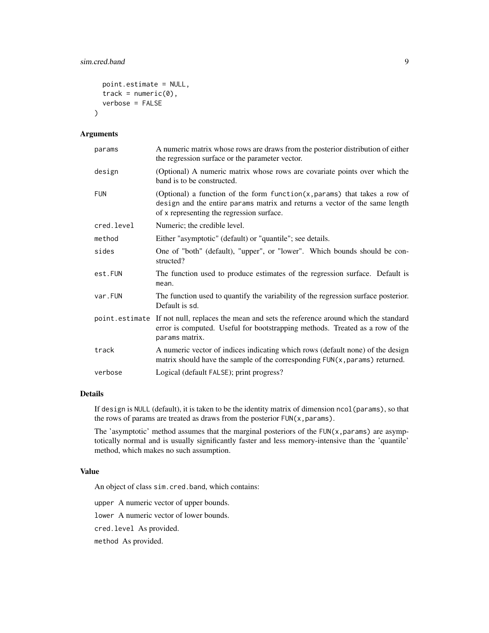#### sim.cred.band 9

```
point.estimate = NULL,
track = numeric(0),
verbose = FALSE
```
#### Arguments

 $\mathcal{L}$ 

| params     | A numeric matrix whose rows are draws from the posterior distribution of either<br>the regression surface or the parameter vector.                                                                        |
|------------|-----------------------------------------------------------------------------------------------------------------------------------------------------------------------------------------------------------|
| design     | (Optional) A numeric matrix whose rows are covariate points over which the<br>band is to be constructed.                                                                                                  |
| <b>FUN</b> | (Optional) a function of the form function( $x$ , params) that takes a row of<br>design and the entire params matrix and returns a vector of the same length<br>of x representing the regression surface. |
| cred.level | Numeric; the credible level.                                                                                                                                                                              |
| method     | Either "asymptotic" (default) or "quantile"; see details.                                                                                                                                                 |
| sides      | One of "both" (default), "upper", or "lower". Which bounds should be con-<br>structed?                                                                                                                    |
| est.FUN    | The function used to produce estimates of the regression surface. Default is<br>mean.                                                                                                                     |
| var.FUN    | The function used to quantify the variability of the regression surface posterior.<br>Default is sd.                                                                                                      |
|            | point estimate If not null, replaces the mean and sets the reference around which the standard<br>error is computed. Useful for bootstrapping methods. Treated as a row of the<br>params matrix.          |
| track      | A numeric vector of indices indicating which rows (default none) of the design<br>matrix should have the sample of the corresponding FUN(x, params) returned.                                             |
| verbose    | Logical (default FALSE); print progress?                                                                                                                                                                  |

#### Details

If design is NULL (default), it is taken to be the identity matrix of dimension ncol(params), so that the rows of params are treated as draws from the posterior  $FUN(x,params)$ .

The 'asymptotic' method assumes that the marginal posteriors of the  $FUN(x,param)$  are asymptotically normal and is usually significantly faster and less memory-intensive than the 'quantile' method, which makes no such assumption.

#### Value

An object of class sim.cred.band, which contains:

upper A numeric vector of upper bounds.

lower A numeric vector of lower bounds.

cred.level As provided.

method As provided.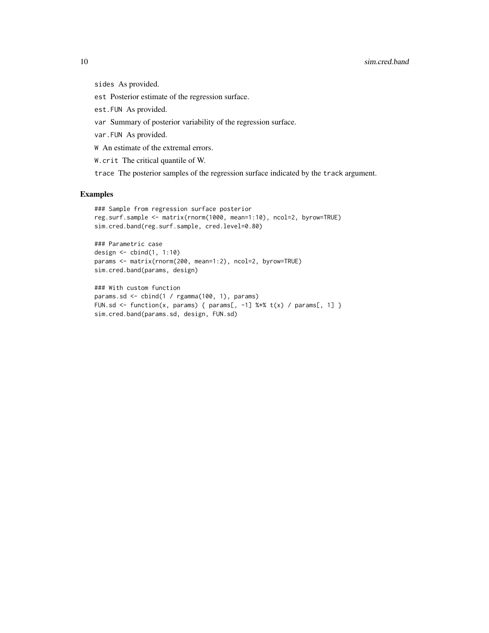#### 10 sim.cred.band

sides As provided.

est Posterior estimate of the regression surface.

est.FUN As provided.

var Summary of posterior variability of the regression surface.

var.FUN As provided.

W An estimate of the extremal errors.

W.crit The critical quantile of W.

trace The posterior samples of the regression surface indicated by the track argument.

#### Examples

```
### Sample from regression surface posterior
reg.surf.sample <- matrix(rnorm(1000, mean=1:10), ncol=2, byrow=TRUE)
sim.cred.band(reg.surf.sample, cred.level=0.80)
```

```
### Parametric case
design <- cbind(1, 1:10)
params <- matrix(rnorm(200, mean=1:2), ncol=2, byrow=TRUE)
sim.cred.band(params, design)
```

```
### With custom function
params.sd <- cbind(1 / rgamma(100, 1), params)
FUN.sd <- function(x, params) { params[, -1] %*% t(x) / params[, 1] }
sim.cred.band(params.sd, design, FUN.sd)
```